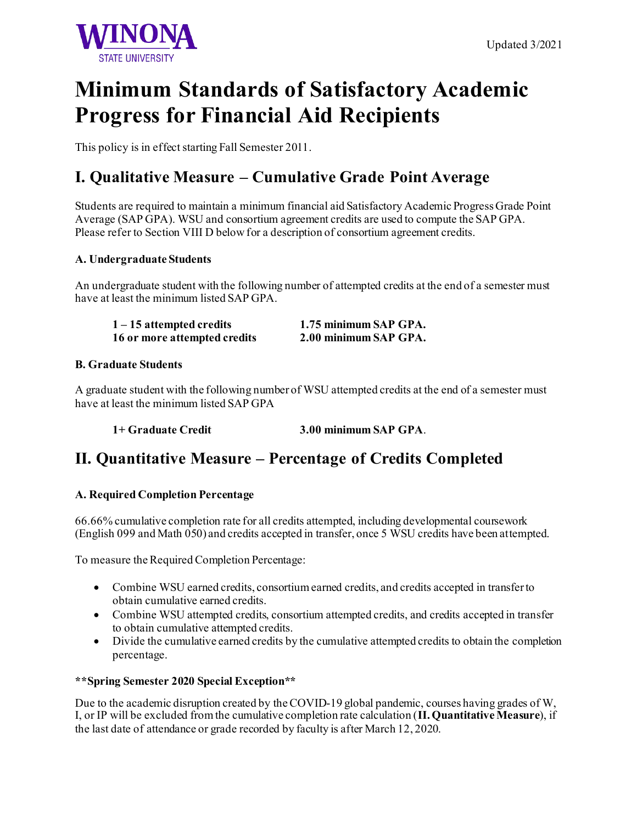

# **Minimum Standards of Satisfactory Academic Progress for Financial Aid Recipients**

This policy is in effect starting Fall Semester 2011.

## **I. Qualitative Measure – Cumulative Grade Point Average**

Students are required to maintain a minimum financial aid Satisfactory Academic Progress Grade Point Average (SAP GPA). WSU and consortium agreement credits are used to compute the SAP GPA. Please refer to Section VIII D below for a description of consortium agreement credits.

### **A. Undergraduate Students**

An undergraduate student with the following number of attempted credits at the end of a semester must have at least the minimum listed SAP GPA.

**1 – 15 attempted credits 1.75 minimum SAP GPA. 16 or more attempted credits 2.00 minimum SAP GPA.**

### **B. Graduate Students**

A graduate student with the following number of WSU attempted credits at the end of a semester must have at least the minimum listed SAP GPA

**1+ Graduate Credit 3.00 minimum SAP GPA**.

### **II. Quantitative Measure – Percentage of Credits Completed**

### **A. Required Completion Percentage**

66.66% cumulative completion rate for all credits attempted, including developmental coursework (English 099 and Math 050) and credits accepted in transfer, once 5 WSU credits have been attempted.

To measure the Required Completion Percentage:

- Combine WSU earned credits, consortium earned credits, and credits accepted in transfer to obtain cumulative earned credits.
- Combine WSU attempted credits, consortium attempted credits, and credits accepted in transfer to obtain cumulative attempted credits.
- Divide the cumulative earned credits by the cumulative attempted credits to obtain the completion percentage.

#### **\*\*Spring Semester 2020 Special Exception\*\***

Due to the academic disruption created by the COVID-19 global pandemic, courses having grades of W, I, or IP will be excluded from the cumulative completion rate calculation (**II. Quantitative Measure**), if the last date of attendance or grade recorded by faculty is after March 12, 2020.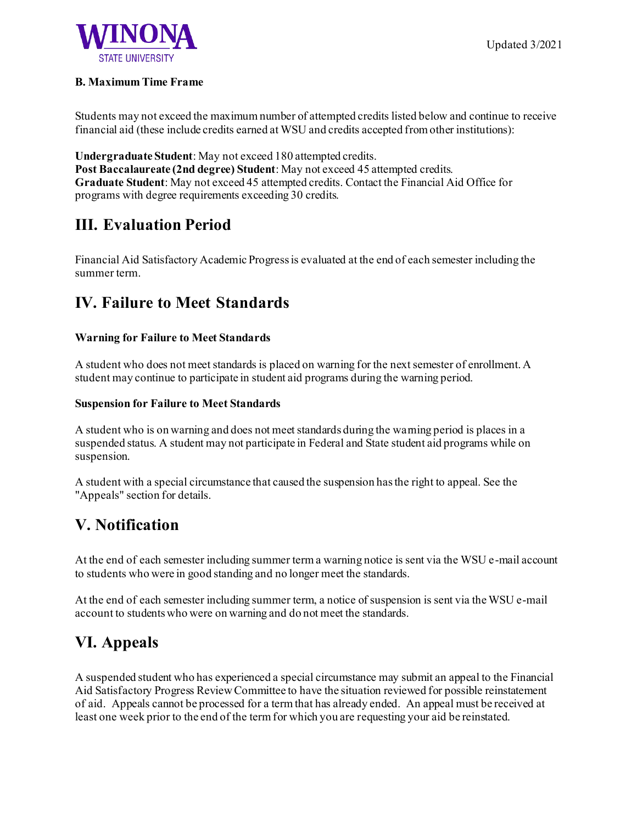

#### **B. Maximum Time Frame**

Students may not exceed the maximum number of attempted credits listed below and continue to receive financial aid (these include credits earned at WSU and credits accepted from other institutions):

**Undergraduate Student**: May not exceed 180 attempted credits. **Post Baccalaureate (2nd degree) Student**: May not exceed 45 attempted credits. **Graduate Student**: May not exceed 45 attempted credits. Contact the Financial Aid Office for programs with degree requirements exceeding 30 credits.

### **III. Evaluation Period**

Financial Aid Satisfactory Academic Progress is evaluated at the end of each semester including the summer term.

### **IV. Failure to Meet Standards**

### **Warning for Failure to Meet Standards**

A student who does not meet standards is placed on warning for the next semester of enrollment. A student may continue to participate in student aid programs during the warning period.

#### **Suspension for Failure to Meet Standards**

A student who is on warning and does not meet standards during the warning period is places in a suspended status. A student may not participate in Federal and State student aid programs while on suspension.

A student with a special circumstance that caused the suspension has the right to appeal. See the "Appeals" section for details.

### **V. Notification**

At the end of each semester including summer term a warning notice is sent via the WSU e-mail account to students who were in good standing and no longer meet the standards.

At the end of each semester including summer term, a notice of suspension is sent via the WSU e-mail account to students who were on warning and do not meet the standards.

### **VI. Appeals**

A suspended student who has experienced a special circumstance may submit an appeal to the Financial Aid Satisfactory Progress Review Committee to have the situation reviewed for possible reinstatement of aid. Appeals cannot be processed for a term that has already ended. An appeal must be received at least one week prior to the end of the term for which you are requesting your aid be reinstated.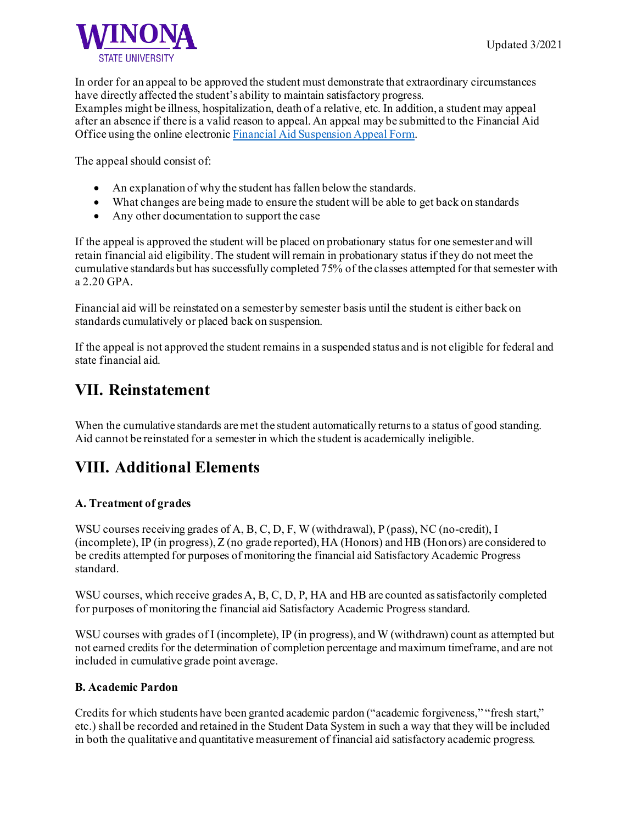In order for an appeal to be approved the student must demonstrate that extraordinary circumstances have directly affected the student's ability to maintain satisfactory progress. Examples might be illness, hospitalization, death of a relative, etc. In addition, a student may appeal after an absence if there is a valid reason to appeal. An appeal may be submitted to the Financial Aid

Office using the online electroni[c Financial Aid Suspension Appeal Form](https://warriorspace.winona.edu/ProcessDirector/form.aspx?pid=cbc76cfa-e332-489a-a868-237dcf390893&formid=33f20d9c-34f3-41fc-b32d-86c564a23973&nohome=0&completepageprompt=0&completepage=&completetext=).

The appeal should consist of:

- An explanation of why the student has fallen below the standards.
- What changes are being made to ensure the student will be able to get back on standards
- Any other documentation to support the case

If the appeal is approved the student will be placed on probationary status for one semester and will retain financial aid eligibility. The student will remain in probationary status if they do not meet the cumulative standards but has successfully completed 75% of the classes attempted for that semester with a 2.20 GPA.

Financial aid will be reinstated on a semester by semester basis until the student is either back on standards cumulatively or placed back on suspension.

If the appeal is not approved the student remains in a suspended status and is not eligible for federal and state financial aid.

### **VII. Reinstatement**

When the cumulative standards are met the student automatically returns to a status of good standing. Aid cannot be reinstated for a semester in which the student is academically ineligible.

### **VIII. Additional Elements**

### **A. Treatment of grades**

WSU courses receiving grades of A, B, C, D, F, W (withdrawal), P (pass), NC (no-credit), I (incomplete), IP (in progress), Z (no grade reported), HA (Honors) and HB (Honors) are considered to be credits attempted for purposes of monitoring the financial aid Satisfactory Academic Progress standard.

WSU courses, which receive grades A, B, C, D, P, HA and HB are counted as satisfactorily completed for purposes of monitoring the financial aid Satisfactory Academic Progress standard.

WSU courses with grades of I (incomplete), IP (in progress), and W (withdrawn) count as attempted but not earned credits for the determination of completion percentage and maximum timeframe, and are not included in cumulative grade point average.

#### **B. Academic Pardon**

Credits for which students have been granted academic pardon ("academic forgiveness," "fresh start," etc.) shall be recorded and retained in the Student Data System in such a way that they will be included in both the qualitative and quantitative measurement of financial aid satisfactory academic progress.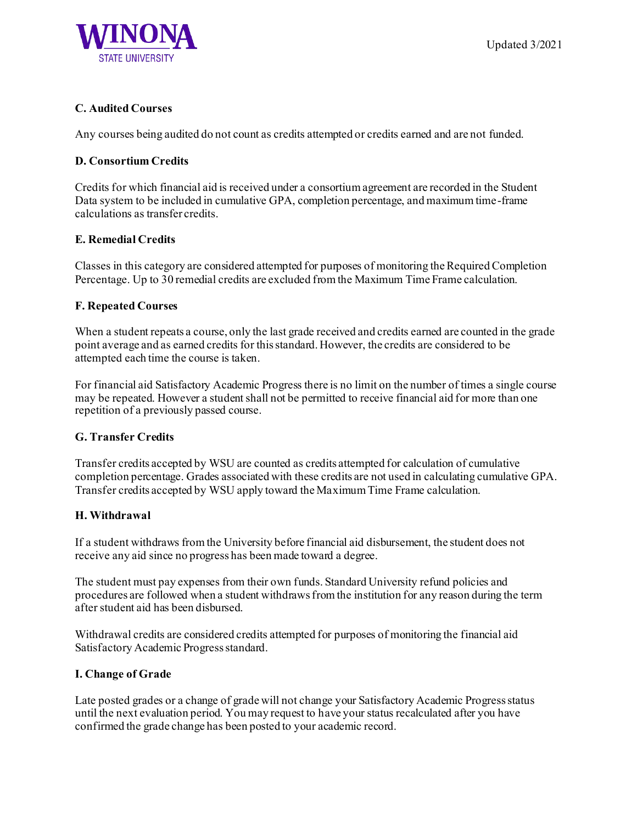

### **C. Audited Courses**

Any courses being audited do not count as credits attempted or credits earned and are not funded.

### **D. Consortium Credits**

Credits for which financial aid is received under a consortium agreement are recorded in the Student Data system to be included in cumulative GPA, completion percentage, and maximum time-frame calculations as transfer credits.

### **E. Remedial Credits**

Classes in this category are considered attempted for purposes of monitoring the Required Completion Percentage. Up to 30 remedial credits are excluded from the Maximum Time Frame calculation.

### **F. Repeated Courses**

When a student repeats a course, only the last grade received and credits earned are counted in the grade point average and as earned credits for this standard. However, the credits are considered to be attempted each time the course is taken.

For financial aid Satisfactory Academic Progress there is no limit on the number of times a single course may be repeated. However a student shall not be permitted to receive financial aid for more than one repetition of a previously passed course.

### **G. Transfer Credits**

Transfer credits accepted by WSU are counted as credits attempted for calculation of cumulative completion percentage. Grades associated with these credits are not used in calculating cumulative GPA. Transfer credits accepted by WSU apply toward the Maximum Time Frame calculation.

#### **H. Withdrawal**

If a student withdraws from the University before financial aid disbursement, the student does not receive any aid since no progress has been made toward a degree.

The student must pay expenses from their own funds. Standard University refund policies and procedures are followed when a student withdraws from the institution for any reason during the term after student aid has been disbursed.

Withdrawal credits are considered credits attempted for purposes of monitoring the financial aid Satisfactory Academic Progress standard.

#### **I. Change of Grade**

Late posted grades or a change of grade will not change your Satisfactory Academic Progress status until the next evaluation period. You may request to have your status recalculated after you have confirmed the grade change has been posted to your academic record.